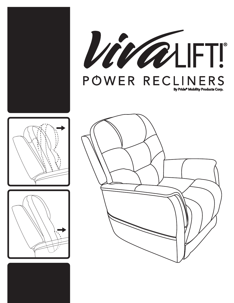



By Pride<sup>®</sup> Mobility Products Corp.



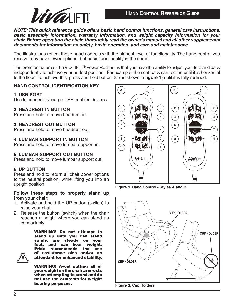

*NOTE: This quick reference guide offers basic hand control functions, general care instructions, basic assembly information, warranty information, and weight capacity information for your chair. Before operating the chair, thoroughly read the owner's manual and all other supplemental documents for information on safety, basic operation, and care and maintenance.*

The illustrations reflect those hand controls with the highest level of functionality. The hand control you receive may have fewer options, but basic functionality is the same.

The premier feature of the VivaLIFT!**®** Power Recliner is that you have the ability to adjust your feet and back independently to achieve your perfect position. For example, the seat back can recline until it is horizontal to the floor. To achieve this, press and hold button "8" (as shown in **figure 1**) until it is fully reclined.

# **HAND CONTROL IDENTIFICATION KEY**

### **1. USB PORT**

Use to connect to/charge USB enabled devices.

### **2. HEADREST IN BUTTON**

Press and hold to move headrest in.

### **3. HEADREST OUT BUTTON**

Press and hold to move headrest out.

### **4. LUMBAR SUPPORT IN BUTTON**

Press and hold to move lumbar support in.

# **5. LUMBAR SUPPORT OUT BUTTON**

Press and hold to move lumbar support out.

### **6. UP BUTTON**

Press and hold to return all chair power options to the neutral position, while lifting you into an upright position.

### **Follow these steps to properly stand up from your chair:**

- 1. Activate and hold the UP button (switch) to raise your chair.
- 2. Release the button (switch) when the chair reaches a height where you can stand up comfortably.

WARNING! Do not attempt to stand up until you can stand safely, are steady on your feet, and can bear weight. Pride recommends the use of assistance aids and/or an attendant for enhanced stability.

WARNING! Avoid putting all of your weight on the chair armrests when attempting to stand and do not use the armrests for weight bearing purposes.







**Figure 2. Cup Holders**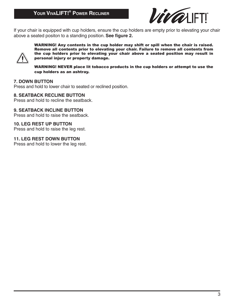

If your chair is equipped with cup holders, ensure the cup holders are empty prior to elevating your chair above a seated positon to a standing position. **See figure 2.** 



WARNING! Any contents in the cup holder may shift or spill when the chair is raised. Remove all contents prior to elevating your chair. Failure to remove all contents from the cup holders prior to elevating your chair above a seated position may result in personal injury or property damage.

WARNING! NEVER place lit tobacco products in the cup holders or attempt to use the cup holders as an ashtray.

### **7. DOWN BUTTON**

Press and hold to lower chair to seated or reclined position.

#### **8. SEATBACK RECLINE BUTTON**

Press and hold to recline the seatback.

**9. SEATBACK INCLINE BUTTON**

Press and hold to raise the seatback.

**10. LEG REST UP BUTTON**

Press and hold to raise the leg rest.

**11. LEG REST DOWN BUTTON** Press and hold to lower the leg rest.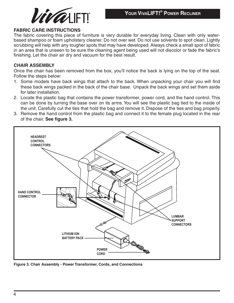

### **FABRIC CARE INSTRUCTIONS**

The fabric covering this piece of furniture is very durable for everyday living. Clean with only waterbased shampoo or foam upholstery cleaner. Do not over wet. Do not use solvents to spot clean. Lightly scrubbing will help with any tougher spots that may have developed. Always check a small spot of fabric in an area that is unseen to be sure the cleaning agent being used will not discolor or fade the fabric's finishing. Let the chair air dry and vacuum for the best result.

### **CHAIR ASSEMBLY**

Once the chair has been removed from the box, you'll notice the back is lying on the top of the seat. Follow the steps below:

- 1. Some models have back wings that attach to the back. When unpacking your chair you will find these back wings packed in the back of the chair base. Unpack the back wings and set them aside for later installation.
- 2. Locate the plastic bag that contains the power transformer, power cord, and the hand control. This can be done by turning the base over on its arms. You will see the plastic bag tied to the inside of the unit. Carefully cut the ties that hold the bag and remove it. Dispose of the ties and bag properly.
- 3. Remove the hand control from the plastic bag and connect it to the female plug located in the rear of the chair. **See figure 3.**



**Figure 3. Chair Assembly - Power Transformer, Cords, and Connections**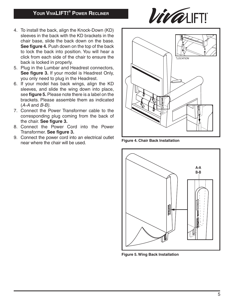# **Your VivaLIFT! ® Power Recliner**



- 4. To install the back, align the Knock-Down (KD) sleeves in the back with the KD brackets in the chair base, slide the back down on the base. **See figure 4.** Push down on the top of the back to lock the back into position. You will hear a click from each side of the chair to ensure the back is locked in properly.
- 5. Plug in the Lumbar and Headrest connectors, **See figure 3.** If your model is Headrest Only, you only need to plug in the Headrest.
- 6. If your model has back wings, align the KD sleeves, and slide the wing down into place, see **figure 5.** Please note there is a label on the brackets. Please assemble them as indicated (*A-A* and *B-B)*.
- 7. Connect the Power Transformer cable to the corresponding plug coming from the back of the chair. **See figure 3.**
- 8. Connect the Power Cord into the Power Transformer. **See figure 3.**
- 9. Connect the power cord into an electrical outlet near where the chair will be used. **Figure 4. Chair Back Installation**





**Figure 5. Wing Back Installation**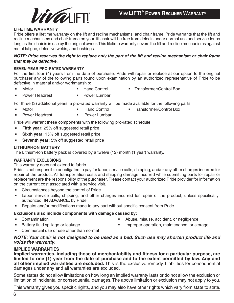

#### **LIFETIME WARRANTY**

Pride offers a lifetime warranty on the lift and recline mechanisms, and chair frame. Pride warrants that the lift and recline mechanisms and chair frame on your lift chair will be free from defects under normal use and service for as long as the chair is in use by the original owner. This lifetime warranty covers the lift and recline mechanisms against metal fatigue, defective welds, and bushings.

#### *NOTE: Pride reserves the right to replace only the part of the lift and recline mechanism or chair frame that may be defective.*

#### **SEVEN-YEAR PRO-RATED WARRANTY**

For the first four (4) years from the date of purchase, Pride will repair or replace at our option to the original purchaser any of the following parts found upon examination by an authorized representative of Pride to be defective in material and/or workmanship:

- 
- Motor **Example 2 Hand Control <b>Figure** Transformer/Control Box
- Power Headrest 
Power Lumbar
	-

For three (3) additional years, a pro-rated warranty will be made available for the following parts:

- 
- Motor **The Control Control Control Example 2** Transformer/Control Box
- - Power Headrest **Fig. 1** Power Lumbar

Pride will warrant these components with the following pro-rated schedule:

- **Fifth year:** 25% off suggested retail price
- **Sixth year:** 15% off suggested retail price
- **Seventh year:** 5% off suggested retail price

#### **LITHIUM-ION BATTERY**

The Lithium-Ion battery pack is covered by a twelve (12) month (1 year) warranty.

#### **WARRANTY EXCLUSIONS**

This warranty does not extend to fabric.

Pride is not responsible or obligated to pay for labor, service calls, shipping, and/or any other charges incurred for repair of the product. All transportation costs and shipping damage incurred while submitting parts for repair or replacement are the responsibility of the purchaser. Please contact your authorized Pride provider for information on the current cost associated with a service visit.

- Circumstances beyond the control of Pride
- Labor, service calls, shipping, and other charges incurred for repair of the product, unless specifically authorized, IN ADVANCE, by Pride
- Repairs and/or modifications made to any part without specific consent from Pride

#### **Exclusions also include components with damage caused by:**

- 
- 
- Contamination Abuse, misuse, accident, or negligence
- Battery fluid spillage or leakage Improper operation, maintenance, or storage
- Commercial use or use other than normal

#### *NOTE: Your chair is not designed to be used as a bed. Such use may shorten product life and voids the warranty*.

### **IMPLIED WARRANTIES**

**Implied warranties, including those of merchantability and fitness for a particular purpose, are limited to one (1) year from the date of purchase and to the extent permitted by law. Any and all other implied warranties are excluded.** This is the exclusive remedy. Liabilities for consequential damages under any and all warranties are excluded.

Some states do not allow limitations on how long an implied warranty lasts or do not allow the exclusion or limitation of incidental or consequential damages. The above limitation or exclusion may not apply to you.

This warranty gives you specific rights, and you may also have other rights which vary from state to state.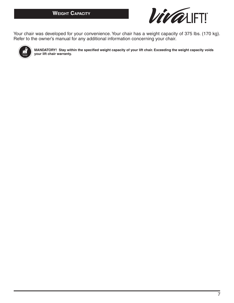

Your chair was developed for your convenience. Your chair has a weight capacity of 375 lbs. (170 kg). Refer to the owner's manual for any additional information concerning your chair.



**MANDATORY! Stay within the specified weight capacity of your lift chair. Exceeding the weight capacity voids your lift chair warranty.**